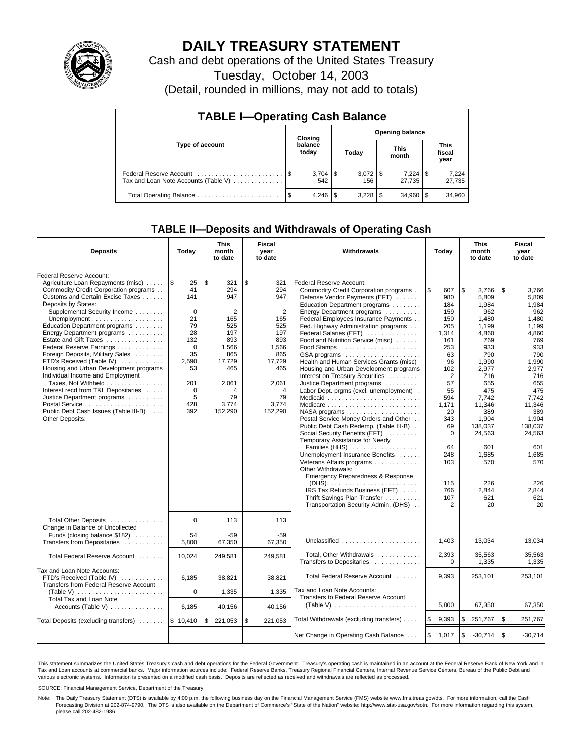

# **DAILY TREASURY STATEMENT**

Cash and debt operations of the United States Treasury

Tuesday, October 14, 2003

(Detail, rounded in millions, may not add to totals)

| <b>TABLE I-Operating Cash Balance</b>                           |                                   |                  |  |       |  |                      |     |                               |  |  |
|-----------------------------------------------------------------|-----------------------------------|------------------|--|-------|--|----------------------|-----|-------------------------------|--|--|
|                                                                 | <b>Opening balance</b><br>Closing |                  |  |       |  |                      |     |                               |  |  |
| Type of account                                                 |                                   | balance<br>today |  | Today |  | <b>This</b><br>month |     | <b>This</b><br>fiscal<br>year |  |  |
| Federal Reserve Account<br>Tax and Loan Note Accounts (Table V) |                                   | 542              |  | 156   |  | 7,224<br>27.735      | 1\$ | 7,224<br>27,735               |  |  |
|                                                                 |                                   | 4.246            |  |       |  | 34.960               |     | 34,960                        |  |  |

## **TABLE II—Deposits and Withdrawals of Operating Cash**

| <b>Deposits</b>                                                                                                                                                                                                                                                                                                                                                                                                                                                                                                                                                                                                                | Today                                                                                                                                      | <b>This</b><br>month<br>to date                                                                                                                | <b>Fiscal</b><br>year<br>to date                                                                                                               | Withdrawals                                                                                                                                                                                                                                                                                                                                                                                                                                                                                                                                                                                                                                                                                                                                                                                                                                                                                                                                                                                                                   | Today                                                                                                                                                                                                    | <b>This</b><br>month<br>to date                                                                                                                                                                                                         | <b>Fiscal</b><br>year<br>to date                                                                                                                                                                                                        |
|--------------------------------------------------------------------------------------------------------------------------------------------------------------------------------------------------------------------------------------------------------------------------------------------------------------------------------------------------------------------------------------------------------------------------------------------------------------------------------------------------------------------------------------------------------------------------------------------------------------------------------|--------------------------------------------------------------------------------------------------------------------------------------------|------------------------------------------------------------------------------------------------------------------------------------------------|------------------------------------------------------------------------------------------------------------------------------------------------|-------------------------------------------------------------------------------------------------------------------------------------------------------------------------------------------------------------------------------------------------------------------------------------------------------------------------------------------------------------------------------------------------------------------------------------------------------------------------------------------------------------------------------------------------------------------------------------------------------------------------------------------------------------------------------------------------------------------------------------------------------------------------------------------------------------------------------------------------------------------------------------------------------------------------------------------------------------------------------------------------------------------------------|----------------------------------------------------------------------------------------------------------------------------------------------------------------------------------------------------------|-----------------------------------------------------------------------------------------------------------------------------------------------------------------------------------------------------------------------------------------|-----------------------------------------------------------------------------------------------------------------------------------------------------------------------------------------------------------------------------------------|
| Federal Reserve Account:<br>Agriculture Loan Repayments (misc)<br>Commodity Credit Corporation programs<br>Customs and Certain Excise Taxes<br>Deposits by States:<br>Supplemental Security Income<br>Education Department programs<br>Energy Department programs<br>Estate and Gift Taxes<br>Federal Reserve Earnings<br>Foreign Deposits, Military Sales<br>FTD's Received (Table IV)<br>Housing and Urban Development programs<br>Individual Income and Employment<br>Taxes, Not Withheld<br>Interest recd from T&L Depositaries<br>Justice Department programs<br>Public Debt Cash Issues (Table III-B)<br>Other Deposits: | \$<br>25<br>41<br>141<br>$\mathbf 0$<br>21<br>79<br>28<br>132<br>$\mathbf 0$<br>35<br>2,590<br>53<br>201<br>$\mathbf 0$<br>5<br>428<br>392 | \$<br>321<br>294<br>947<br>$\overline{2}$<br>165<br>525<br>197<br>893<br>1,566<br>865<br>17,729<br>465<br>2,061<br>4<br>79<br>3,774<br>152,290 | \$<br>321<br>294<br>947<br>$\overline{2}$<br>165<br>525<br>197<br>893<br>1,566<br>865<br>17.729<br>465<br>2,061<br>4<br>79<br>3.774<br>152,290 | Federal Reserve Account:<br>Commodity Credit Corporation programs<br>Defense Vendor Payments (EFT)<br>Education Department programs<br>Energy Department programs<br>Federal Employees Insurance Payments<br>Fed. Highway Administration programs<br>Federal Salaries (EFT)<br>Food and Nutrition Service (misc)<br>GSA programs<br>Health and Human Services Grants (misc)<br>Housing and Urban Development programs<br>Interest on Treasury Securities<br>Justice Department programs<br>Labor Dept. prgms (excl. unemployment).<br>Medicare<br>$NASA$ programs $\ldots \ldots \ldots \ldots \ldots$<br>Postal Service Money Orders and Other<br>Public Debt Cash Redemp. (Table III-B)<br>Social Security Benefits (EFT)<br>Temporary Assistance for Needy<br>Families (HHS)<br>Unemployment Insurance Benefits<br>Veterans Affairs programs<br>Other Withdrawals:<br>Emergency Preparedness & Response<br>(DHS)<br>IRS Tax Refunds Business (EFT)<br>Thrift Savings Plan Transfer<br>Transportation Security Admin. (DHS) | l\$<br>607<br>980<br>184<br>159<br>150<br>205<br>1,314<br>161<br>253<br>63<br>96<br>102<br>2<br>57<br>55<br>594<br>1,171<br>20<br>343<br>69<br>$\mathbf 0$<br>64<br>248<br>103<br>115<br>766<br>107<br>2 | \$<br>3,766<br>5,809<br>1,984<br>962<br>1.480<br>1.199<br>4,860<br>769<br>933<br>790<br>1,990<br>2,977<br>716<br>655<br>475<br>7.742<br>11,346<br>389<br>1,904<br>138.037<br>24,563<br>601<br>1,685<br>570<br>226<br>2,844<br>621<br>20 | \$<br>3,766<br>5,809<br>1,984<br>962<br>1,480<br>1.199<br>4,860<br>769<br>933<br>790<br>1,990<br>2,977<br>716<br>655<br>475<br>7.742<br>11,346<br>389<br>1,904<br>138.037<br>24,563<br>601<br>1,685<br>570<br>226<br>2,844<br>621<br>20 |
| Total Other Deposits<br>Change in Balance of Uncollected<br>Funds (closing balance \$182)                                                                                                                                                                                                                                                                                                                                                                                                                                                                                                                                      | $\mathbf 0$<br>54                                                                                                                          | 113<br>$-59$                                                                                                                                   | 113<br>-59                                                                                                                                     |                                                                                                                                                                                                                                                                                                                                                                                                                                                                                                                                                                                                                                                                                                                                                                                                                                                                                                                                                                                                                               |                                                                                                                                                                                                          |                                                                                                                                                                                                                                         |                                                                                                                                                                                                                                         |
| Transfers from Depositaries                                                                                                                                                                                                                                                                                                                                                                                                                                                                                                                                                                                                    | 5,800                                                                                                                                      | 67,350                                                                                                                                         | 67,350                                                                                                                                         | Unclassified                                                                                                                                                                                                                                                                                                                                                                                                                                                                                                                                                                                                                                                                                                                                                                                                                                                                                                                                                                                                                  | 1.403                                                                                                                                                                                                    | 13,034                                                                                                                                                                                                                                  | 13,034                                                                                                                                                                                                                                  |
| Total Federal Reserve Account                                                                                                                                                                                                                                                                                                                                                                                                                                                                                                                                                                                                  | 10.024                                                                                                                                     | 249.581                                                                                                                                        | 249.581                                                                                                                                        | Total, Other Withdrawals<br>Transfers to Depositaries                                                                                                                                                                                                                                                                                                                                                                                                                                                                                                                                                                                                                                                                                                                                                                                                                                                                                                                                                                         | 2,393<br>$\mathbf 0$                                                                                                                                                                                     | 35,563<br>1,335                                                                                                                                                                                                                         | 35,563<br>1,335                                                                                                                                                                                                                         |
| Tax and Loan Note Accounts:<br>FTD's Received (Table IV)<br>Transfers from Federal Reserve Account                                                                                                                                                                                                                                                                                                                                                                                                                                                                                                                             | 6,185                                                                                                                                      | 38,821                                                                                                                                         | 38,821                                                                                                                                         | Total Federal Reserve Account                                                                                                                                                                                                                                                                                                                                                                                                                                                                                                                                                                                                                                                                                                                                                                                                                                                                                                                                                                                                 | 9,393                                                                                                                                                                                                    | 253,101                                                                                                                                                                                                                                 | 253,101                                                                                                                                                                                                                                 |
|                                                                                                                                                                                                                                                                                                                                                                                                                                                                                                                                                                                                                                | $\mathbf 0$                                                                                                                                | 1,335                                                                                                                                          | 1,335                                                                                                                                          | Tax and Loan Note Accounts:<br>Transfers to Federal Reserve Account                                                                                                                                                                                                                                                                                                                                                                                                                                                                                                                                                                                                                                                                                                                                                                                                                                                                                                                                                           |                                                                                                                                                                                                          |                                                                                                                                                                                                                                         |                                                                                                                                                                                                                                         |
| Total Tax and Loan Note<br>Accounts (Table V) $\dots \dots \dots \dots$                                                                                                                                                                                                                                                                                                                                                                                                                                                                                                                                                        | 6,185                                                                                                                                      | 40,156                                                                                                                                         | 40,156                                                                                                                                         | (Table V) $\ldots \ldots \ldots \ldots \ldots \ldots \ldots$                                                                                                                                                                                                                                                                                                                                                                                                                                                                                                                                                                                                                                                                                                                                                                                                                                                                                                                                                                  | 5,800                                                                                                                                                                                                    | 67,350                                                                                                                                                                                                                                  | 67,350                                                                                                                                                                                                                                  |
| Total Deposits (excluding transfers)                                                                                                                                                                                                                                                                                                                                                                                                                                                                                                                                                                                           | \$10,410                                                                                                                                   | 221,053<br>\$                                                                                                                                  | \$<br>221,053                                                                                                                                  | Total Withdrawals (excluding transfers)                                                                                                                                                                                                                                                                                                                                                                                                                                                                                                                                                                                                                                                                                                                                                                                                                                                                                                                                                                                       | l\$<br>9,393                                                                                                                                                                                             | \$<br>251,767                                                                                                                                                                                                                           | \$<br>251,767                                                                                                                                                                                                                           |
|                                                                                                                                                                                                                                                                                                                                                                                                                                                                                                                                                                                                                                |                                                                                                                                            |                                                                                                                                                |                                                                                                                                                | Net Change in Operating Cash Balance                                                                                                                                                                                                                                                                                                                                                                                                                                                                                                                                                                                                                                                                                                                                                                                                                                                                                                                                                                                          | <b>S</b><br>1,017                                                                                                                                                                                        | \$<br>$-30,714$                                                                                                                                                                                                                         | $\sqrt{3}$<br>$-30,714$                                                                                                                                                                                                                 |

This statement summarizes the United States Treasury's cash and debt operations for the Federal Government. Treasury's operating cash is maintained in an account at the Federal Reserve Bank of New York and in Tax and Loan accounts at commercial banks. Major information sources include: Federal Reserve Banks, Treasury Regional Financial Centers, Internal Revenue Service Centers, Bureau of the Public Debt and<br>various electronic s

SOURCE: Financial Management Service, Department of the Treasury.

Note: The Daily Treasury Statement (DTS) is available by 4:00 p.m. the following business day on the Financial Management Service (FMS) website www.fms.treas.gov/dts. For more information, call the Cash Forecasting Division at 202-874-9790. The DTS is also available on the Department of Commerce's "State of the Nation" website: http://www.stat-usa.gov/sotn. For more information regarding this system, please call 202-482-1986.